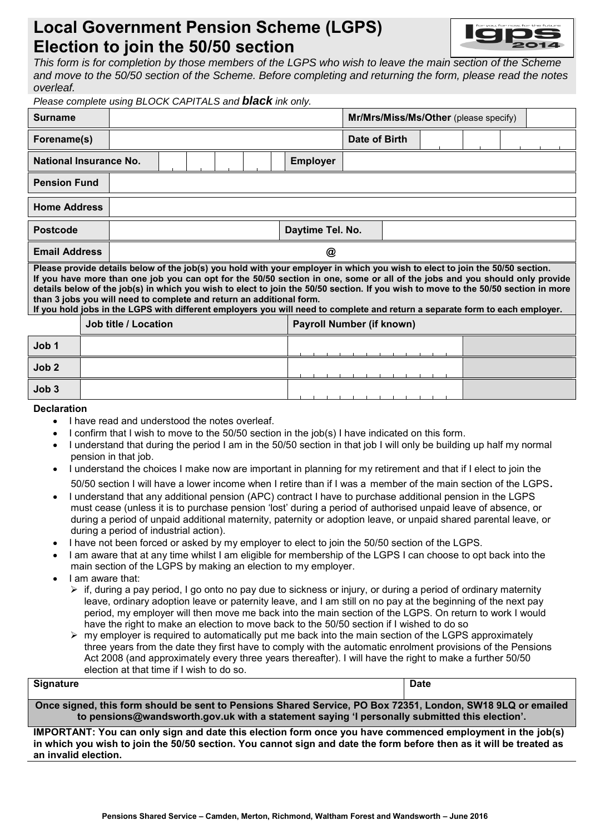# **Local Government Pension Scheme (LGPS) Election to join the 50/50 section**



*This form is for completion by those members of the LGPS who wish to leave the main section of the Scheme and move to the 50/50 section of the Scheme. Before completing and returning the form, please read the notes overleaf.*

| Please complete using BLOCK CAPITALS and <b>black</b> ink only.                                                                                                                                                                                                                                                                                                                                                                                                                                                                                                                                           |                      |                  |  |  |  |                                  |                                       |                 |   |               |  |  |  |  |  |
|-----------------------------------------------------------------------------------------------------------------------------------------------------------------------------------------------------------------------------------------------------------------------------------------------------------------------------------------------------------------------------------------------------------------------------------------------------------------------------------------------------------------------------------------------------------------------------------------------------------|----------------------|------------------|--|--|--|----------------------------------|---------------------------------------|-----------------|---|---------------|--|--|--|--|--|
| <b>Surname</b>                                                                                                                                                                                                                                                                                                                                                                                                                                                                                                                                                                                            |                      |                  |  |  |  |                                  | Mr/Mrs/Miss/Ms/Other (please specify) |                 |   |               |  |  |  |  |  |
| Forename(s)                                                                                                                                                                                                                                                                                                                                                                                                                                                                                                                                                                                               |                      |                  |  |  |  |                                  |                                       |                 |   | Date of Birth |  |  |  |  |  |
| <b>National Insurance No.</b>                                                                                                                                                                                                                                                                                                                                                                                                                                                                                                                                                                             |                      |                  |  |  |  |                                  |                                       | <b>Employer</b> |   |               |  |  |  |  |  |
| <b>Pension Fund</b>                                                                                                                                                                                                                                                                                                                                                                                                                                                                                                                                                                                       |                      |                  |  |  |  |                                  |                                       |                 |   |               |  |  |  |  |  |
| <b>Home Address</b>                                                                                                                                                                                                                                                                                                                                                                                                                                                                                                                                                                                       |                      |                  |  |  |  |                                  |                                       |                 |   |               |  |  |  |  |  |
| <b>Postcode</b>                                                                                                                                                                                                                                                                                                                                                                                                                                                                                                                                                                                           |                      | Daytime Tel. No. |  |  |  |                                  |                                       |                 |   |               |  |  |  |  |  |
| <b>Email Address</b>                                                                                                                                                                                                                                                                                                                                                                                                                                                                                                                                                                                      |                      | @                |  |  |  |                                  |                                       |                 |   |               |  |  |  |  |  |
| Please provide details below of the job(s) you hold with your employer in which you wish to elect to join the 50/50 section.<br>If you have more than one job you can opt for the 50/50 section in one, some or all of the jobs and you should only provide<br>details below of the job(s) in which you wish to elect to join the 50/50 section. If you wish to move to the 50/50 section in more<br>than 3 jobs you will need to complete and return an additional form.<br>If you hold jobs in the LGPS with different employers you will need to complete and return a separate form to each employer. |                      |                  |  |  |  |                                  |                                       |                 |   |               |  |  |  |  |  |
|                                                                                                                                                                                                                                                                                                                                                                                                                                                                                                                                                                                                           | Job title / Location |                  |  |  |  | <b>Payroll Number (if known)</b> |                                       |                 |   |               |  |  |  |  |  |
| Job 1                                                                                                                                                                                                                                                                                                                                                                                                                                                                                                                                                                                                     |                      |                  |  |  |  |                                  |                                       |                 |   |               |  |  |  |  |  |
| Job <sub>2</sub>                                                                                                                                                                                                                                                                                                                                                                                                                                                                                                                                                                                          |                      |                  |  |  |  |                                  |                                       |                 |   |               |  |  |  |  |  |
| Job <sub>3</sub>                                                                                                                                                                                                                                                                                                                                                                                                                                                                                                                                                                                          |                      |                  |  |  |  |                                  |                                       |                 | . |               |  |  |  |  |  |

#### **Declaration**

- I have read and understood the notes overleaf.
- I confirm that I wish to move to the 50/50 section in the job(s) I have indicated on this form.
- I understand that during the period I am in the 50/50 section in that job I will only be building up half my normal pension in that job.
- I understand the choices I make now are important in planning for my retirement and that if I elect to join the 50/50 section I will have a lower income when I retire than if I was a member of the main section of the LGPS.
- I understand that any additional pension (APC) contract I have to purchase additional pension in the LGPS must cease (unless it is to purchase pension 'lost' during a period of authorised unpaid leave of absence, or during a period of unpaid additional maternity, paternity or adoption leave, or unpaid shared parental leave, or during a period of industrial action).
- I have not been forced or asked by my employer to elect to join the 50/50 section of the LGPS.
- I am aware that at any time whilst I am eligible for membership of the LGPS I can choose to opt back into the main section of the LGPS by making an election to my employer.
- I am aware that:
	- $\triangleright$  if, during a pay period, I go onto no pay due to sickness or injury, or during a period of ordinary maternity leave, ordinary adoption leave or paternity leave, and I am still on no pay at the beginning of the next pay period, my employer will then move me back into the main section of the LGPS. On return to work I would have the right to make an election to move back to the 50/50 section if I wished to do so
	- $\triangleright$  my employer is required to automatically put me back into the main section of the LGPS approximately three years from the date they first have to comply with the automatic enrolment provisions of the Pensions Act 2008 (and approximately every three years thereafter). I will have the right to make a further 50/50 election at that time if I wish to do so.

| Signature                                                                                                   | <b>Date</b> |  |  |  |  |
|-------------------------------------------------------------------------------------------------------------|-------------|--|--|--|--|
| Once signed, this form should be sent to Pensions Shared Service, PO Box 72351, London, SW18 9LQ or emailed |             |  |  |  |  |
| to pensions@wandsworth.gov.uk with a statement saying 'I personally submitted this election'.               |             |  |  |  |  |

**IMPORTANT: You can only sign and date this election form once you have commenced employment in the job(s) in which you wish to join the 50/50 section. You cannot sign and date the form before then as it will be treated as an invalid election.**